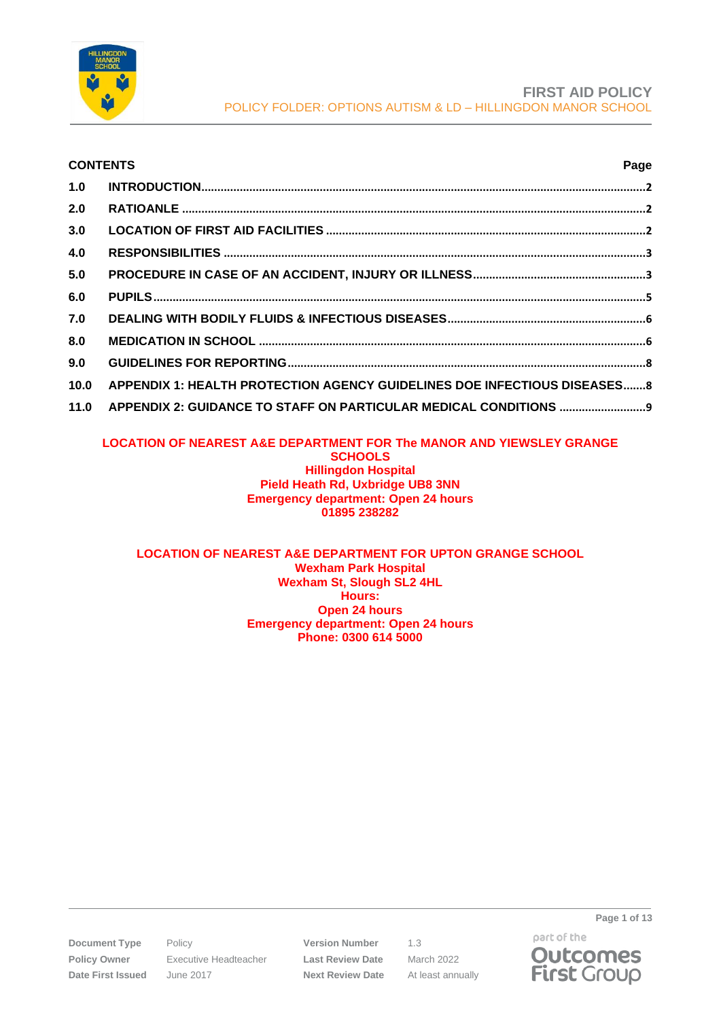

# **CONTENTS Page 1.0 INTRODUCTION[...........................................................................................................................................2](#page-1-0) 2.0 RATIOANLE [.................................................................................................................................................2](#page-1-1) 3.0 LOCATION OF FIRST AID FACILITIES [....................................................................................................2](#page-1-2) 4.0 RESPONSIBILITIES [....................................................................................................................................3](#page-2-0) 5.0 [PROCEDURE IN CASE OF AN ACCIDENT, INJURY OR ILLNESS](#page-2-1).....................................................[.3](#page-2-1) 6.0 PUPILS[..........................................................................................................................................................5](#page-4-0) 7.0 [DEALING WITH BODILY FLUIDS & INFECTIOUS DISEASES](#page-5-0).............................................................[.6](#page-5-0) 8.0 MEDICATION IN SCHOOL [.........................................................................................................................6](#page-5-1) 9.0 GUIDELINES FOR REPORTING[................................................................................................................8](#page-7-0) 10.0 [APPENDIX 1: HEALTH PROTECTION AGENCY GUIDELINES DOE INFECTIOUS DISEASES](#page-7-1)......[.8](#page-7-1) 11.0 [APPENDIX 2: GUIDANCE TO STAFF ON PARTICULAR MEDICAL CONDITIONS](#page-8-0) ..........................[.9](#page-8-0)**

# **LOCATION OF NEAREST A&E DEPARTMENT FOR The MANOR AND YIEWSLEY GRANGE SCHOOLS Hillingdon Hospital**

#### **Pield Heath Rd, Uxbridge UB8 3NN Emergency department: Open 24 hours 01895 238282**

#### **LOCATION OF NEAREST A&E DEPARTMENT FOR UPTON GRANGE SCHOOL Wexham Park Hospital Wexham St, Slough SL2 4HL Hours: Open 24 hours Emergency department: Open 24 hours Phone: 0300 614 5000**

**Document Type** Policy **Version Number** 1.3 **Policy Owner** Executive Headteacher **Last Review Date** March 2022 **Date First Issued** June 2017 **Next Review Date** At least annually

part of the **Outcomes First Group** 

**Page 1 of 13**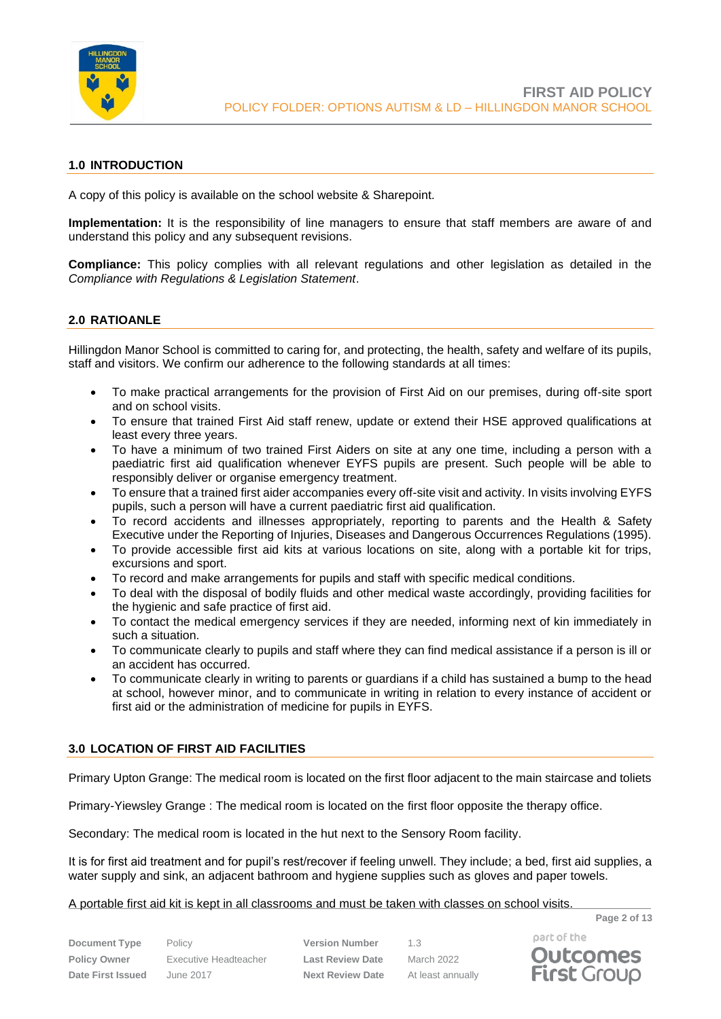

# <span id="page-1-0"></span>**1.0 INTRODUCTION**

A copy of this policy is available on the school website & Sharepoint.

**Implementation:** It is the responsibility of line managers to ensure that staff members are aware of and understand this policy and any subsequent revisions.

**Compliance:** This policy complies with all relevant regulations and other legislation as detailed in the *Compliance with Regulations & Legislation Statement*.

## <span id="page-1-1"></span>**2.0 RATIOANLE**

Hillingdon Manor School is committed to caring for, and protecting, the health, safety and welfare of its pupils, staff and visitors. We confirm our adherence to the following standards at all times:

- To make practical arrangements for the provision of First Aid on our premises, during off-site sport and on school visits.
- To ensure that trained First Aid staff renew, update or extend their HSE approved qualifications at least every three years.
- To have a minimum of two trained First Aiders on site at any one time, including a person with a paediatric first aid qualification whenever EYFS pupils are present. Such people will be able to responsibly deliver or organise emergency treatment.
- To ensure that a trained first aider accompanies every off-site visit and activity. In visits involving EYFS pupils, such a person will have a current paediatric first aid qualification.
- To record accidents and illnesses appropriately, reporting to parents and the Health & Safety Executive under the Reporting of Injuries, Diseases and Dangerous Occurrences Regulations (1995).
- To provide accessible first aid kits at various locations on site, along with a portable kit for trips, excursions and sport.
- To record and make arrangements for pupils and staff with specific medical conditions.
- To deal with the disposal of bodily fluids and other medical waste accordingly, providing facilities for the hygienic and safe practice of first aid.
- To contact the medical emergency services if they are needed, informing next of kin immediately in such a situation.
- To communicate clearly to pupils and staff where they can find medical assistance if a person is ill or an accident has occurred.
- To communicate clearly in writing to parents or guardians if a child has sustained a bump to the head at school, however minor, and to communicate in writing in relation to every instance of accident or first aid or the administration of medicine for pupils in EYFS.

## <span id="page-1-2"></span>**3.0 LOCATION OF FIRST AID FACILITIES**

Primary Upton Grange: The medical room is located on the first floor adjacent to the main staircase and toliets

Primary-Yiewsley Grange : The medical room is located on the first floor opposite the therapy office.

Secondary: The medical room is located in the hut next to the Sensory Room facility.

It is for first aid treatment and for pupil's rest/recover if feeling unwell. They include; a bed, first aid supplies, a water supply and sink, an adjacent bathroom and hygiene supplies such as gloves and paper towels.

#### A portable first aid kit is kept in all classrooms and must be taken with classes on school visits.

**Page 2 of 13**

**Document Type** Policy **Version Number** 1.3 **Policy Owner** Executive Headteacher **Last Review Date** March 2022 **Date First Issued** June 2017 **Next Review Date** At least annually

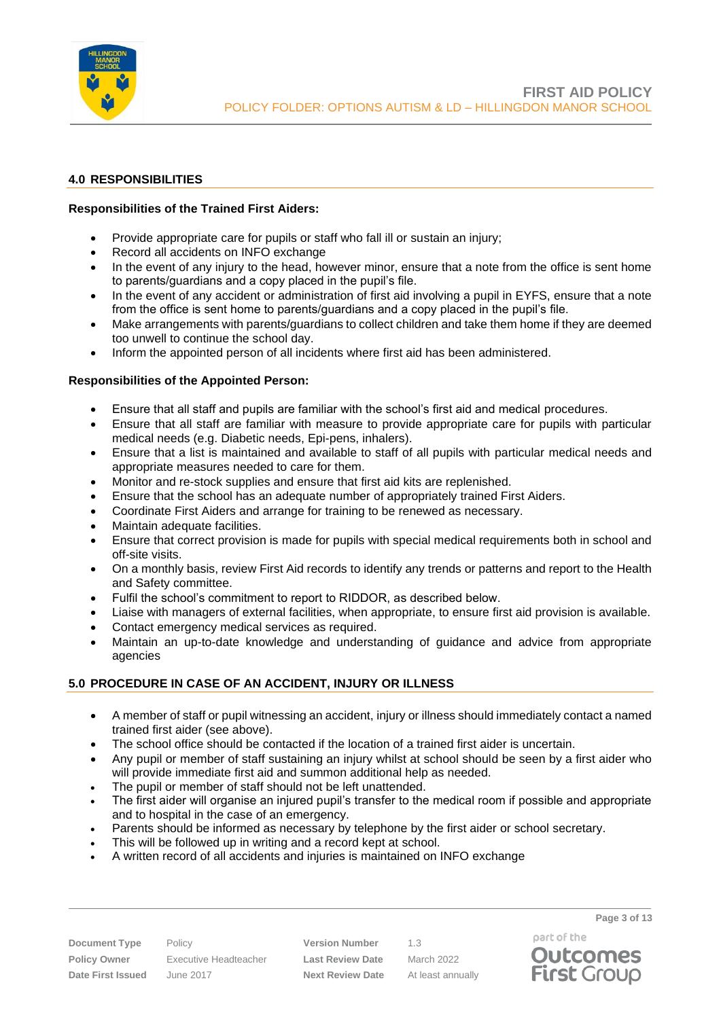

## <span id="page-2-0"></span>**4.0 RESPONSIBILITIES**

## **Responsibilities of the Trained First Aiders:**

- Provide appropriate care for pupils or staff who fall ill or sustain an injury;
- Record all accidents on INFO exchange
- In the event of any injury to the head, however minor, ensure that a note from the office is sent home to parents/guardians and a copy placed in the pupil's file.
- In the event of any accident or administration of first aid involving a pupil in EYFS, ensure that a note from the office is sent home to parents/guardians and a copy placed in the pupil's file.
- Make arrangements with parents/guardians to collect children and take them home if they are deemed too unwell to continue the school day.
- Inform the appointed person of all incidents where first aid has been administered.

## **Responsibilities of the Appointed Person:**

- Ensure that all staff and pupils are familiar with the school's first aid and medical procedures.
- Ensure that all staff are familiar with measure to provide appropriate care for pupils with particular medical needs (e.g. Diabetic needs, Epi-pens, inhalers).
- Ensure that a list is maintained and available to staff of all pupils with particular medical needs and appropriate measures needed to care for them.
- Monitor and re-stock supplies and ensure that first aid kits are replenished.
- Ensure that the school has an adequate number of appropriately trained First Aiders.
- Coordinate First Aiders and arrange for training to be renewed as necessary.
- Maintain adequate facilities.
- Ensure that correct provision is made for pupils with special medical requirements both in school and off-site visits.
- On a monthly basis, review First Aid records to identify any trends or patterns and report to the Health and Safety committee.
- Fulfil the school's commitment to report to RIDDOR, as described below.
- Liaise with managers of external facilities, when appropriate, to ensure first aid provision is available.
- Contact emergency medical services as required.
- Maintain an up-to-date knowledge and understanding of guidance and advice from appropriate agencies

# <span id="page-2-1"></span>**5.0 PROCEDURE IN CASE OF AN ACCIDENT, INJURY OR ILLNESS**

- A member of staff or pupil witnessing an accident, injury or illness should immediately contact a named trained first aider (see above).
- The school office should be contacted if the location of a trained first aider is uncertain.
- Any pupil or member of staff sustaining an injury whilst at school should be seen by a first aider who will provide immediate first aid and summon additional help as needed.
- The pupil or member of staff should not be left unattended.
- The first aider will organise an injured pupil's transfer to the medical room if possible and appropriate and to hospital in the case of an emergency.
- Parents should be informed as necessary by telephone by the first aider or school secretary.
- This will be followed up in writing and a record kept at school.
- A written record of all accidents and injuries is maintained on INFO exchange

**Policy Owner** Executive Headteacher **Last Review Date** March 2022 **Date First Issued** June 2017 **Next Review Date** At least annually

**Document Type** Policy **Version Number** 1.3

part of the

**Page 3 of 13**

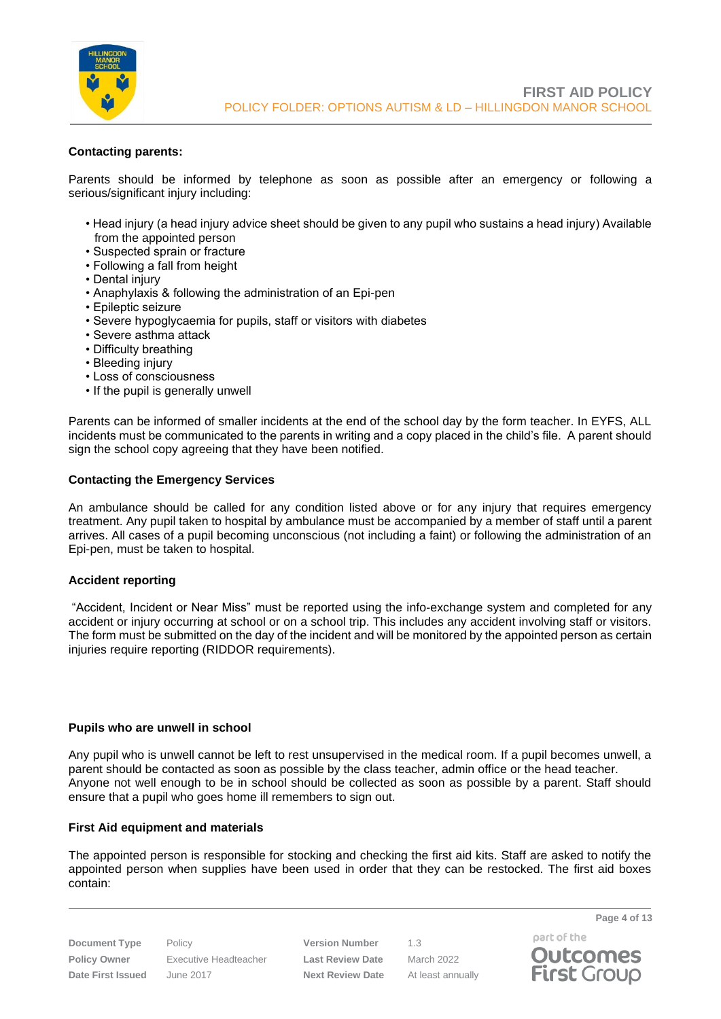

## **Contacting parents:**

Parents should be informed by telephone as soon as possible after an emergency or following a serious/significant injury including:

- Head injury (a head injury advice sheet should be given to any pupil who sustains a head injury) Available from the appointed person
- Suspected sprain or fracture
- Following a fall from height
- Dental injury
- Anaphylaxis & following the administration of an Epi-pen
- Epileptic seizure
- Severe hypoglycaemia for pupils, staff or visitors with diabetes
- Severe asthma attack
- Difficulty breathing
- Bleeding injury
- Loss of consciousness
- If the pupil is generally unwell

Parents can be informed of smaller incidents at the end of the school day by the form teacher. In EYFS, ALL incidents must be communicated to the parents in writing and a copy placed in the child's file. A parent should sign the school copy agreeing that they have been notified.

#### **Contacting the Emergency Services**

An ambulance should be called for any condition listed above or for any injury that requires emergency treatment. Any pupil taken to hospital by ambulance must be accompanied by a member of staff until a parent arrives. All cases of a pupil becoming unconscious (not including a faint) or following the administration of an Epi-pen, must be taken to hospital.

#### **Accident reporting**

"Accident, Incident or Near Miss" must be reported using the info-exchange system and completed for any accident or injury occurring at school or on a school trip. This includes any accident involving staff or visitors. The form must be submitted on the day of the incident and will be monitored by the appointed person as certain injuries require reporting (RIDDOR requirements).

#### **Pupils who are unwell in school**

Any pupil who is unwell cannot be left to rest unsupervised in the medical room. If a pupil becomes unwell, a parent should be contacted as soon as possible by the class teacher, admin office or the head teacher. Anyone not well enough to be in school should be collected as soon as possible by a parent. Staff should ensure that a pupil who goes home ill remembers to sign out.

#### **First Aid equipment and materials**

The appointed person is responsible for stocking and checking the first aid kits. Staff are asked to notify the appointed person when supplies have been used in order that they can be restocked. The first aid boxes contain:

**Document Type** Policy **Version Number** 1.3 **Policy Owner** Executive Headteacher **Last Review Date** March 2022 **Date First Issued** June 2017 **Next Review Date** At least annually

part of the **Outcomes First Group** 

**Page 4 of 13**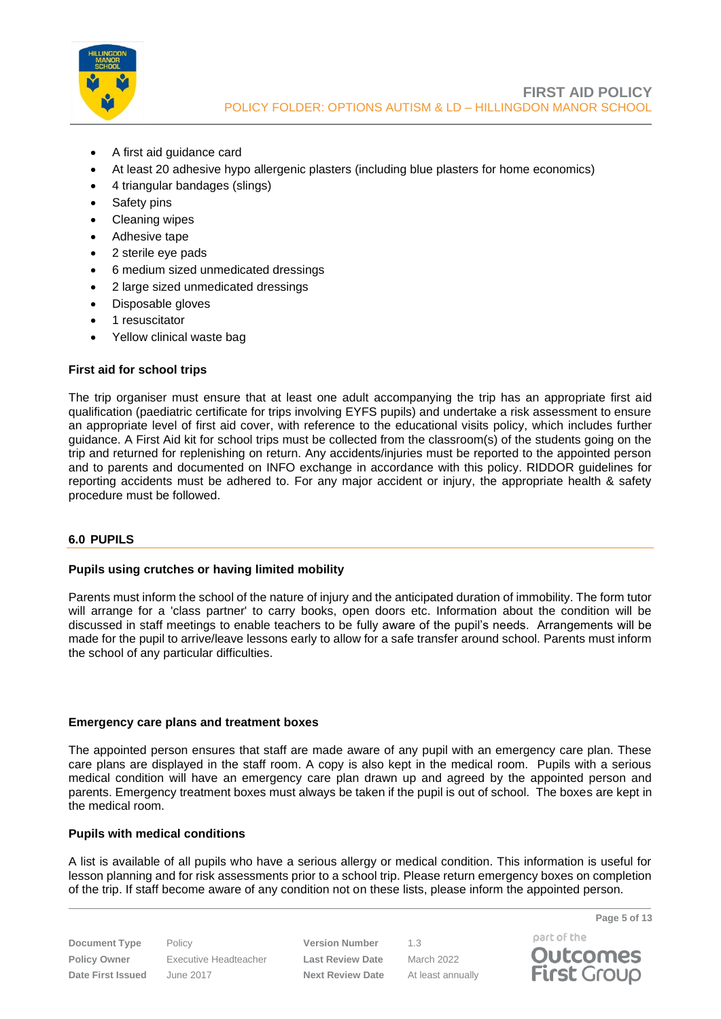

- A first aid guidance card
- At least 20 adhesive hypo allergenic plasters (including blue plasters for home economics)
- 4 triangular bandages (slings)
- Safety pins
- Cleaning wipes
- Adhesive tape
- 2 sterile eye pads
- 6 medium sized unmedicated dressings
- 2 large sized unmedicated dressings
- Disposable gloves
- 1 resuscitator
- Yellow clinical waste bag

## **First aid for school trips**

The trip organiser must ensure that at least one adult accompanying the trip has an appropriate first aid qualification (paediatric certificate for trips involving EYFS pupils) and undertake a risk assessment to ensure an appropriate level of first aid cover, with reference to the educational visits policy, which includes further guidance. A First Aid kit for school trips must be collected from the classroom(s) of the students going on the trip and returned for replenishing on return. Any accidents/injuries must be reported to the appointed person and to parents and documented on INFO exchange in accordance with this policy. RIDDOR guidelines for reporting accidents must be adhered to. For any major accident or injury, the appropriate health & safety procedure must be followed.

## <span id="page-4-0"></span>**6.0 PUPILS**

## **Pupils using crutches or having limited mobility**

Parents must inform the school of the nature of injury and the anticipated duration of immobility. The form tutor will arrange for a 'class partner' to carry books, open doors etc. Information about the condition will be discussed in staff meetings to enable teachers to be fully aware of the pupil's needs. Arrangements will be made for the pupil to arrive/leave lessons early to allow for a safe transfer around school. Parents must inform the school of any particular difficulties.

#### **Emergency care plans and treatment boxes**

The appointed person ensures that staff are made aware of any pupil with an emergency care plan. These care plans are displayed in the staff room. A copy is also kept in the medical room. Pupils with a serious medical condition will have an emergency care plan drawn up and agreed by the appointed person and parents. Emergency treatment boxes must always be taken if the pupil is out of school. The boxes are kept in the medical room.

#### **Pupils with medical conditions**

A list is available of all pupils who have a serious allergy or medical condition. This information is useful for lesson planning and for risk assessments prior to a school trip. Please return emergency boxes on completion of the trip. If staff become aware of any condition not on these lists, please inform the appointed person.

**Document Type** Policy **Version Number** 1.3 **Policy Owner** Executive Headteacher **Last Review Date** March 2022 **Date First Issued** June 2017 **Next Review Date** At least annually



**Page 5 of 13**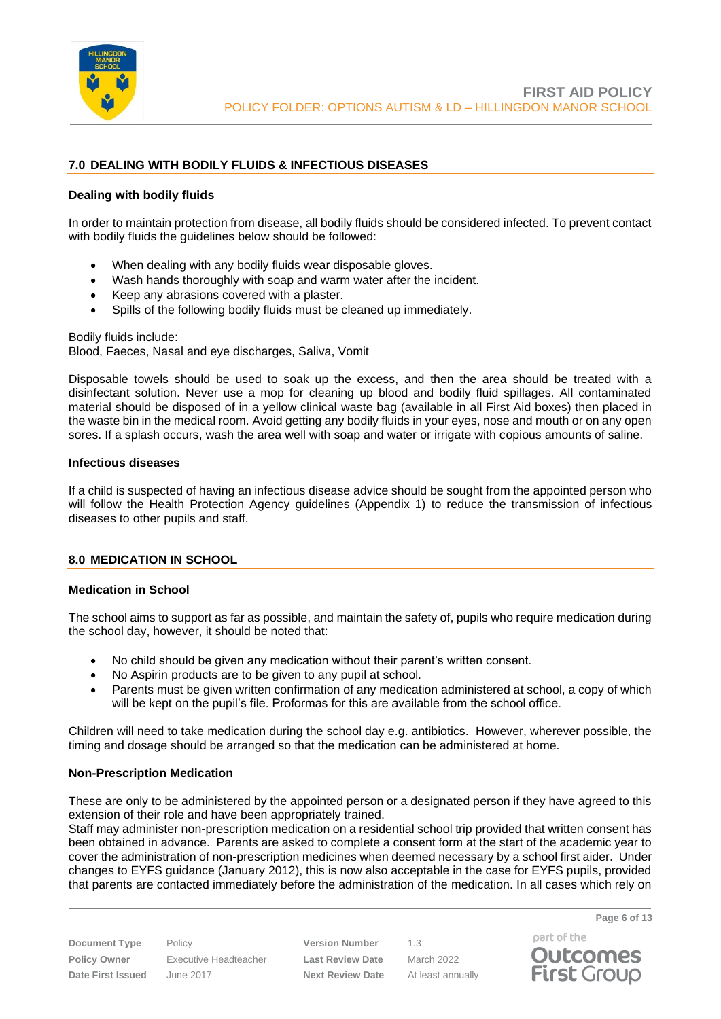

# <span id="page-5-0"></span>**7.0 DEALING WITH BODILY FLUIDS & INFECTIOUS DISEASES**

## **Dealing with bodily fluids**

In order to maintain protection from disease, all bodily fluids should be considered infected. To prevent contact with bodily fluids the guidelines below should be followed:

- When dealing with any bodily fluids wear disposable gloves.
- Wash hands thoroughly with soap and warm water after the incident.
- Keep any abrasions covered with a plaster.
- Spills of the following bodily fluids must be cleaned up immediately.

Bodily fluids include: Blood, Faeces, Nasal and eye discharges, Saliva, Vomit

Disposable towels should be used to soak up the excess, and then the area should be treated with a disinfectant solution. Never use a mop for cleaning up blood and bodily fluid spillages. All contaminated material should be disposed of in a yellow clinical waste bag (available in all First Aid boxes) then placed in the waste bin in the medical room. Avoid getting any bodily fluids in your eyes, nose and mouth or on any open sores. If a splash occurs, wash the area well with soap and water or irrigate with copious amounts of saline.

#### **Infectious diseases**

If a child is suspected of having an infectious disease advice should be sought from the appointed person who will follow the Health Protection Agency guidelines (Appendix 1) to reduce the transmission of infectious diseases to other pupils and staff.

#### <span id="page-5-1"></span>**8.0 MEDICATION IN SCHOOL**

#### **Medication in School**

The school aims to support as far as possible, and maintain the safety of, pupils who require medication during the school day, however, it should be noted that:

- No child should be given any medication without their parent's written consent.
- No Aspirin products are to be given to any pupil at school.
- Parents must be given written confirmation of any medication administered at school, a copy of which will be kept on the pupil's file. Proformas for this are available from the school office.

Children will need to take medication during the school day e.g. antibiotics. However, wherever possible, the timing and dosage should be arranged so that the medication can be administered at home.

#### **Non-Prescription Medication**

These are only to be administered by the appointed person or a designated person if they have agreed to this extension of their role and have been appropriately trained.

Staff may administer non-prescription medication on a residential school trip provided that written consent has been obtained in advance. Parents are asked to complete a consent form at the start of the academic year to cover the administration of non-prescription medicines when deemed necessary by a school first aider. Under changes to EYFS guidance (January 2012), this is now also acceptable in the case for EYFS pupils, provided that parents are contacted immediately before the administration of the medication. In all cases which rely on

**Document Type** Policy **Version Number** 1.3 **Policy Owner** Executive Headteacher **Last Review Date** March 2022 **Date First Issued** June 2017 **Next Review Date** At least annually

part of the **Outcomes First Group**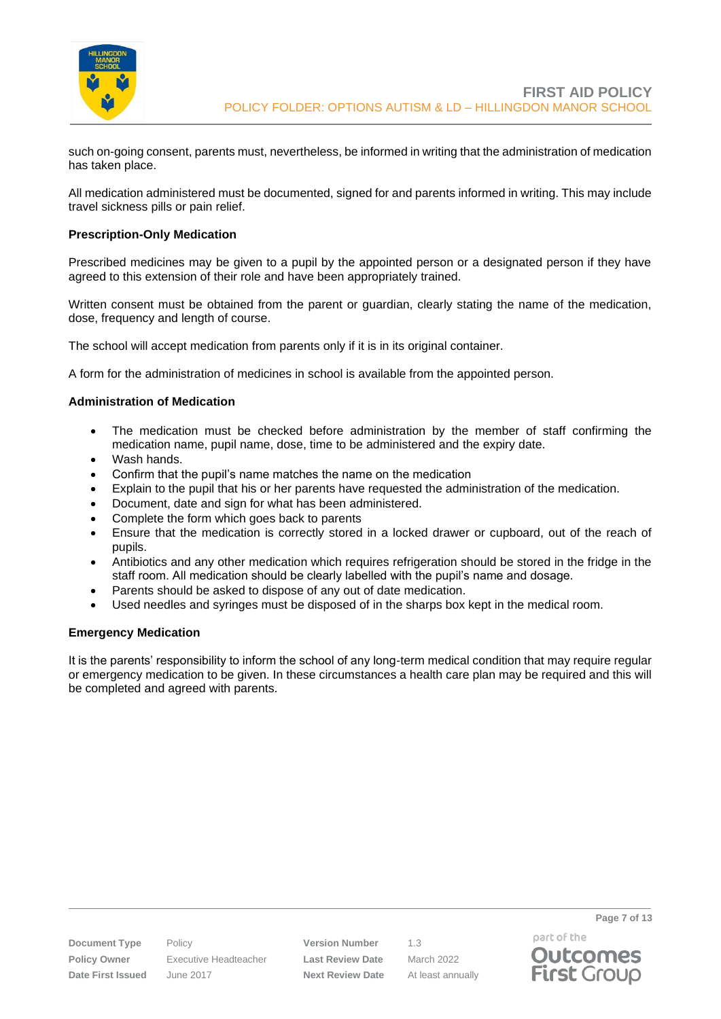

such on-going consent, parents must, nevertheless, be informed in writing that the administration of medication has taken place.

All medication administered must be documented, signed for and parents informed in writing. This may include travel sickness pills or pain relief.

## **Prescription-Only Medication**

Prescribed medicines may be given to a pupil by the appointed person or a designated person if they have agreed to this extension of their role and have been appropriately trained.

Written consent must be obtained from the parent or guardian, clearly stating the name of the medication, dose, frequency and length of course.

The school will accept medication from parents only if it is in its original container.

A form for the administration of medicines in school is available from the appointed person.

#### **Administration of Medication**

- The medication must be checked before administration by the member of staff confirming the medication name, pupil name, dose, time to be administered and the expiry date.
- Wash hands.
- Confirm that the pupil's name matches the name on the medication
- Explain to the pupil that his or her parents have requested the administration of the medication.
- Document, date and sign for what has been administered.
- Complete the form which goes back to parents
- Ensure that the medication is correctly stored in a locked drawer or cupboard, out of the reach of pupils.
- Antibiotics and any other medication which requires refrigeration should be stored in the fridge in the staff room. All medication should be clearly labelled with the pupil's name and dosage.
- Parents should be asked to dispose of any out of date medication.
- Used needles and syringes must be disposed of in the sharps box kept in the medical room.

#### **Emergency Medication**

It is the parents' responsibility to inform the school of any long-term medical condition that may require regular or emergency medication to be given. In these circumstances a health care plan may be required and this will be completed and agreed with parents.

**Policy Owner** Executive Headteacher **Last Review Date** March 2022 **Date First Issued** June 2017 **Next Review Date** At least annually

**Document Type** Policy **Version Number** 1.3

part of the **Outcomes First Group** 

**Page 7 of 13**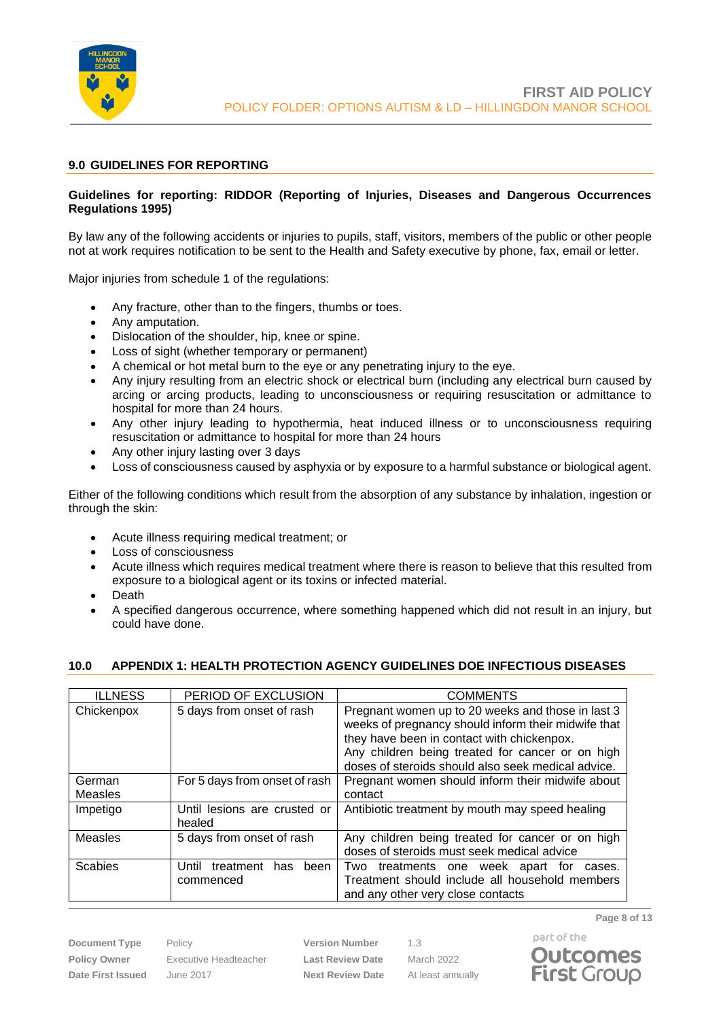

## <span id="page-7-0"></span>**9.0 GUIDELINES FOR REPORTING**

## **Guidelines for reporting: RIDDOR (Reporting of Injuries, Diseases and Dangerous Occurrences Regulations 1995)**

By law any of the following accidents or injuries to pupils, staff, visitors, members of the public or other people not at work requires notification to be sent to the Health and Safety executive by phone, fax, email or letter.

Major injuries from schedule 1 of the regulations:

- Any fracture, other than to the fingers, thumbs or toes.
- Any amputation.
- Dislocation of the shoulder, hip, knee or spine.
- Loss of sight (whether temporary or permanent)
- A chemical or hot metal burn to the eye or any penetrating injury to the eye.
- Any injury resulting from an electric shock or electrical burn (including any electrical burn caused by arcing or arcing products, leading to unconsciousness or requiring resuscitation or admittance to hospital for more than 24 hours.
- Any other injury leading to hypothermia, heat induced illness or to unconsciousness requiring resuscitation or admittance to hospital for more than 24 hours
- Any other injury lasting over 3 days
- Loss of consciousness caused by asphyxia or by exposure to a harmful substance or biological agent.

Either of the following conditions which result from the absorption of any substance by inhalation, ingestion or through the skin:

- Acute illness requiring medical treatment; or
- Loss of consciousness
- Acute illness which requires medical treatment where there is reason to believe that this resulted from exposure to a biological agent or its toxins or infected material.
- Death
- A specified dangerous occurrence, where something happened which did not result in an injury, but could have done.

## <span id="page-7-1"></span>**10.0 APPENDIX 1: HEALTH PROTECTION AGENCY GUIDELINES DOE INFECTIOUS DISEASES**

| <b>ILLNESS</b> | PERIOD OF EXCLUSION                      | <b>COMMENTS</b>                                                                                                                                                                                                                                                  |
|----------------|------------------------------------------|------------------------------------------------------------------------------------------------------------------------------------------------------------------------------------------------------------------------------------------------------------------|
| Chickenpox     | 5 days from onset of rash                | Pregnant women up to 20 weeks and those in last 3<br>weeks of pregnancy should inform their midwife that<br>they have been in contact with chickenpox.<br>Any children being treated for cancer or on high<br>doses of steroids should also seek medical advice. |
| German         | For 5 days from onset of rash            | Pregnant women should inform their midwife about                                                                                                                                                                                                                 |
| <b>Measles</b> |                                          | contact                                                                                                                                                                                                                                                          |
| Impetigo       | Until lesions are crusted or<br>healed   | Antibiotic treatment by mouth may speed healing                                                                                                                                                                                                                  |
| <b>Measles</b> | 5 days from onset of rash                | Any children being treated for cancer or on high<br>doses of steroids must seek medical advice                                                                                                                                                                   |
| Scabies        | treatment has been<br>Until<br>commenced | Two<br>treatments one week apart<br>for<br>cases.<br>Treatment should include all household members<br>and any other very close contacts                                                                                                                         |

**Policy Owner** Executive Headteacher **Last Review Date** March 2022 **Date First Issued** June 2017 **Next Review Date** At least annually

**Document Type** Policy **Version Number** 1.3

**Page 8 of 13**



part of the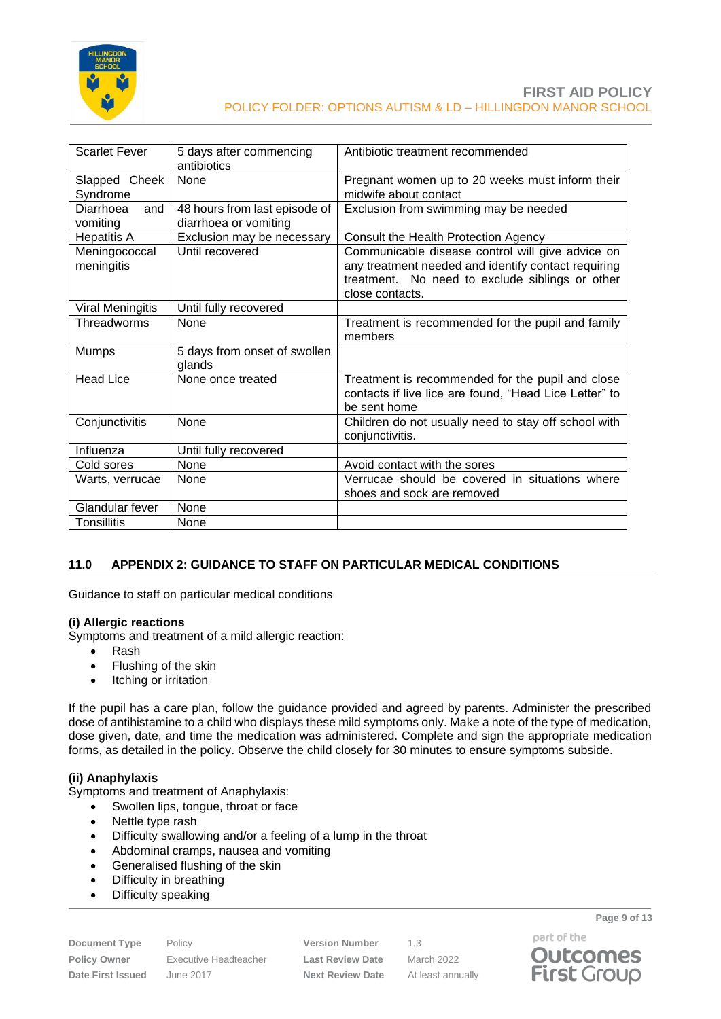

| <b>Scarlet Fever</b>         | 5 days after commencing<br>antibiotics                 | Antibiotic treatment recommended                                                                                                                                              |
|------------------------------|--------------------------------------------------------|-------------------------------------------------------------------------------------------------------------------------------------------------------------------------------|
| Slapped Cheek<br>Syndrome    | None                                                   | Pregnant women up to 20 weeks must inform their<br>midwife about contact                                                                                                      |
| Diarrhoea<br>and<br>vomiting | 48 hours from last episode of<br>diarrhoea or vomiting | Exclusion from swimming may be needed                                                                                                                                         |
| <b>Hepatitis A</b>           | Exclusion may be necessary                             | Consult the Health Protection Agency                                                                                                                                          |
| Meningococcal<br>meningitis  | Until recovered                                        | Communicable disease control will give advice on<br>any treatment needed and identify contact requiring<br>treatment. No need to exclude siblings or other<br>close contacts. |
| Viral Meningitis             | Until fully recovered                                  |                                                                                                                                                                               |
| Threadworms                  | None                                                   | Treatment is recommended for the pupil and family<br>members                                                                                                                  |
| <b>Mumps</b>                 | 5 days from onset of swollen<br>glands                 |                                                                                                                                                                               |
| <b>Head Lice</b>             | None once treated                                      | Treatment is recommended for the pupil and close<br>contacts if live lice are found, "Head Lice Letter" to<br>be sent home                                                    |
| Conjunctivitis               | None                                                   | Children do not usually need to stay off school with<br>conjunctivitis.                                                                                                       |
| Influenza                    | Until fully recovered                                  |                                                                                                                                                                               |
| Cold sores                   | None                                                   | Avoid contact with the sores                                                                                                                                                  |
| Warts, verrucae              | None                                                   | Verrucae should be covered in situations where<br>shoes and sock are removed                                                                                                  |
| Glandular fever              | None                                                   |                                                                                                                                                                               |
| Tonsillitis                  | None                                                   |                                                                                                                                                                               |

## <span id="page-8-0"></span>**11.0 APPENDIX 2: GUIDANCE TO STAFF ON PARTICULAR MEDICAL CONDITIONS**

Guidance to staff on particular medical conditions

#### **(i) Allergic reactions**

Symptoms and treatment of a mild allergic reaction:

- Rash
- Flushing of the skin
- Itching or irritation

If the pupil has a care plan, follow the guidance provided and agreed by parents. Administer the prescribed dose of antihistamine to a child who displays these mild symptoms only. Make a note of the type of medication, dose given, date, and time the medication was administered. Complete and sign the appropriate medication forms, as detailed in the policy. Observe the child closely for 30 minutes to ensure symptoms subside.

## **(ii) Anaphylaxis**

Symptoms and treatment of Anaphylaxis:

- Swollen lips, tongue, throat or face
- Nettle type rash
- Difficulty swallowing and/or a feeling of a lump in the throat
- Abdominal cramps, nausea and vomiting
- Generalised flushing of the skin
- Difficulty in breathing
- Difficulty speaking

**Document Type** Policy **Version Number** 1.3

**Policy Owner** Executive Headteacher **Last Review Date** March 2022 **Date First Issued** June 2017 **Next Review Date** At least annually

part of the **Outcomes First Group** 

**Page 9 of 13**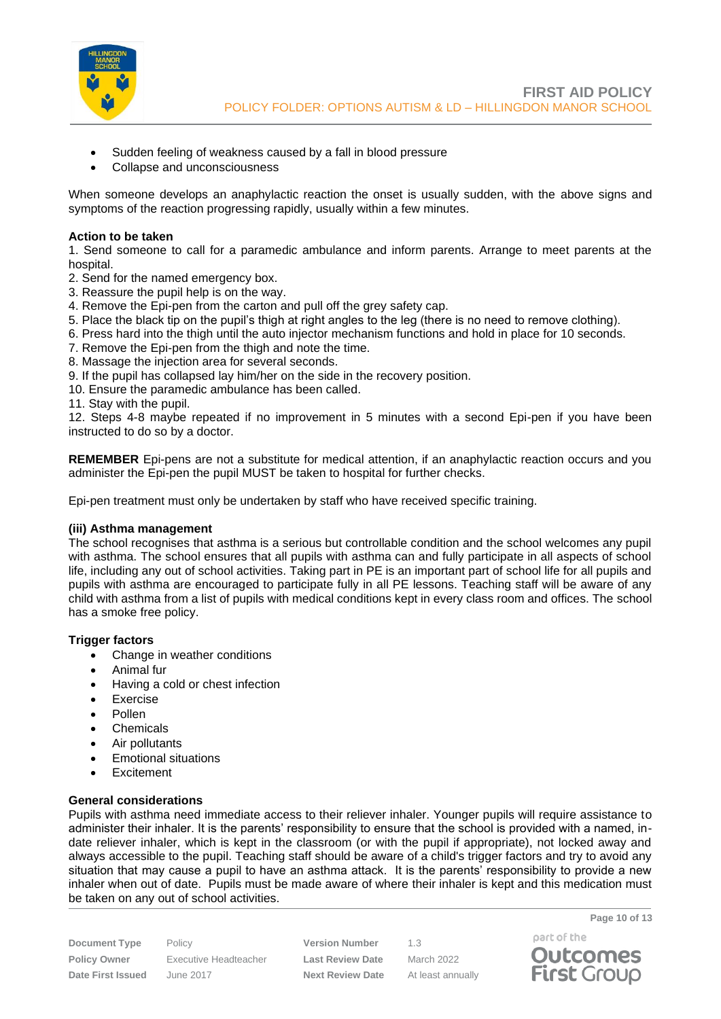

- Sudden feeling of weakness caused by a fall in blood pressure
- Collapse and unconsciousness

When someone develops an anaphylactic reaction the onset is usually sudden, with the above signs and symptoms of the reaction progressing rapidly, usually within a few minutes.

#### **Action to be taken**

1. Send someone to call for a paramedic ambulance and inform parents. Arrange to meet parents at the hospital.

- 2. Send for the named emergency box.
- 3. Reassure the pupil help is on the way.
- 4. Remove the Epi-pen from the carton and pull off the grey safety cap.
- 5. Place the black tip on the pupil's thigh at right angles to the leg (there is no need to remove clothing).
- 6. Press hard into the thigh until the auto injector mechanism functions and hold in place for 10 seconds.
- 7. Remove the Epi-pen from the thigh and note the time.
- 8. Massage the injection area for several seconds.
- 9. If the pupil has collapsed lay him/her on the side in the recovery position.
- 10. Ensure the paramedic ambulance has been called.
- 11. Stay with the pupil.

12. Steps 4-8 maybe repeated if no improvement in 5 minutes with a second Epi-pen if you have been instructed to do so by a doctor.

**REMEMBER** Epi-pens are not a substitute for medical attention, if an anaphylactic reaction occurs and you administer the Epi-pen the pupil MUST be taken to hospital for further checks.

Epi-pen treatment must only be undertaken by staff who have received specific training.

#### **(iii) Asthma management**

The school recognises that asthma is a serious but controllable condition and the school welcomes any pupil with asthma. The school ensures that all pupils with asthma can and fully participate in all aspects of school life, including any out of school activities. Taking part in PE is an important part of school life for all pupils and pupils with asthma are encouraged to participate fully in all PE lessons. Teaching staff will be aware of any child with asthma from a list of pupils with medical conditions kept in every class room and offices. The school has a smoke free policy.

## **Trigger factors**

- Change in weather conditions
- Animal fur
- Having a cold or chest infection
- Exercise
- Pollen
- Chemicals
- Air pollutants
- Emotional situations
- **Fxcitement**

# **General considerations**

Pupils with asthma need immediate access to their reliever inhaler. Younger pupils will require assistance to administer their inhaler. It is the parents' responsibility to ensure that the school is provided with a named, indate reliever inhaler, which is kept in the classroom (or with the pupil if appropriate), not locked away and always accessible to the pupil. Teaching staff should be aware of a child's trigger factors and try to avoid any situation that may cause a pupil to have an asthma attack. It is the parents' responsibility to provide a new inhaler when out of date. Pupils must be made aware of where their inhaler is kept and this medication must be taken on any out of school activities.

| <b>Document Type</b> |  |  |  |
|----------------------|--|--|--|
| <b>Policy Owner</b>  |  |  |  |
| Date First Issued    |  |  |  |

**Policy Owner** Executive Headteacher **Last Review Date** March 2022 **Date First Issued** June 2017 **Next Review Date** At least annually

Policy **Version Number** 1.3



**Page 10 of 13**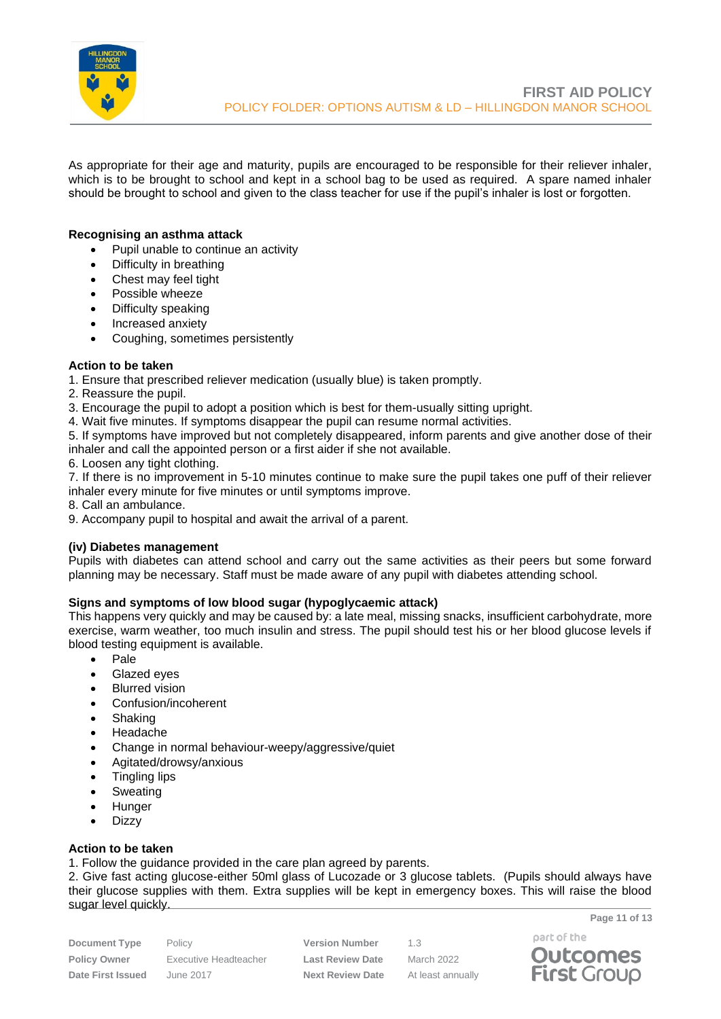

As appropriate for their age and maturity, pupils are encouraged to be responsible for their reliever inhaler, which is to be brought to school and kept in a school bag to be used as required. A spare named inhaler should be brought to school and given to the class teacher for use if the pupil's inhaler is lost or forgotten.

## **Recognising an asthma attack**

- Pupil unable to continue an activity
- Difficulty in breathing
- Chest may feel tight
- Possible wheeze
- Difficulty speaking
- Increased anxiety
- Coughing, sometimes persistently

#### **Action to be taken**

- 1. Ensure that prescribed reliever medication (usually blue) is taken promptly.
- 2. Reassure the pupil.
- 3. Encourage the pupil to adopt a position which is best for them-usually sitting upright.
- 4. Wait five minutes. If symptoms disappear the pupil can resume normal activities.

5. If symptoms have improved but not completely disappeared, inform parents and give another dose of their inhaler and call the appointed person or a first aider if she not available.

6. Loosen any tight clothing.

7. If there is no improvement in 5-10 minutes continue to make sure the pupil takes one puff of their reliever inhaler every minute for five minutes or until symptoms improve.

8. Call an ambulance.

9. Accompany pupil to hospital and await the arrival of a parent.

#### **(iv) Diabetes management**

Pupils with diabetes can attend school and carry out the same activities as their peers but some forward planning may be necessary. Staff must be made aware of any pupil with diabetes attending school.

## **Signs and symptoms of low blood sugar (hypoglycaemic attack)**

This happens very quickly and may be caused by: a late meal, missing snacks, insufficient carbohydrate, more exercise, warm weather, too much insulin and stress. The pupil should test his or her blood glucose levels if blood testing equipment is available.

- Pale
- Glazed eyes
- Blurred vision
- Confusion/incoherent
- Shaking
- Headache
- Change in normal behaviour-weepy/aggressive/quiet
- Agitated/drowsy/anxious
- Tingling lips
- Sweating
- Hunger
- Dizzy

## **Action to be taken**

1. Follow the guidance provided in the care plan agreed by parents.

2. Give fast acting glucose-either 50ml glass of Lucozade or 3 glucose tablets. (Pupils should always have their glucose supplies with them. Extra supplies will be kept in emergency boxes. This will raise the blood sugar level quickly.

**Document Type** Policy **Version Number** 1.3 **Policy Owner** Executive Headteacher **Last Review Date** March 2022 **Date First Issued** June 2017 **Next Review Date** At least annually **Page 11 of 13**

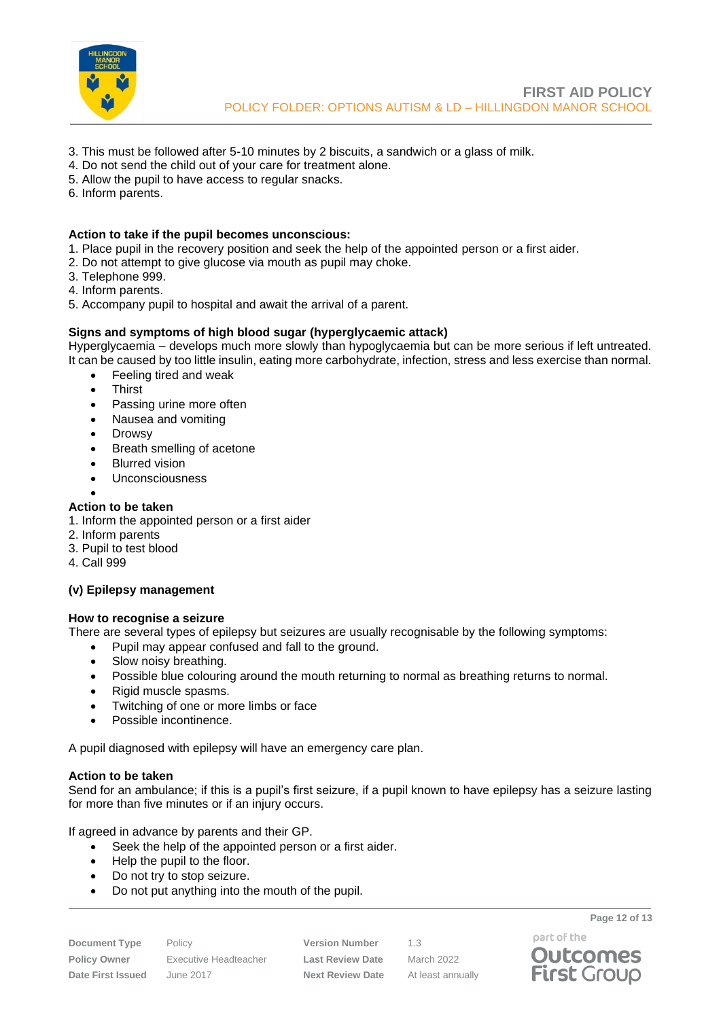

- 3. This must be followed after 5-10 minutes by 2 biscuits, a sandwich or a glass of milk.
- 4. Do not send the child out of your care for treatment alone.
- 5. Allow the pupil to have access to regular snacks.
- 6. Inform parents.

## **Action to take if the pupil becomes unconscious:**

- 1. Place pupil in the recovery position and seek the help of the appointed person or a first aider.
- 2. Do not attempt to give glucose via mouth as pupil may choke.
- 3. Telephone 999.
- 4. Inform parents.
- 5. Accompany pupil to hospital and await the arrival of a parent.

#### **Signs and symptoms of high blood sugar (hyperglycaemic attack)**

Hyperglycaemia – develops much more slowly than hypoglycaemia but can be more serious if left untreated. It can be caused by too little insulin, eating more carbohydrate, infection, stress and less exercise than normal.

- Feeling tired and weak
	- **Thirst**
	- Passing urine more often
	- Nausea and vomiting
	- Drowsy
	- Breath smelling of acetone
	- Blurred vision
- **Unconsciousness**
- •

## **Action to be taken**

- 1. Inform the appointed person or a first aider
- 2. Inform parents
- 3. Pupil to test blood
- 4. Call 999

## **(v) Epilepsy management**

#### **How to recognise a seizure**

There are several types of epilepsy but seizures are usually recognisable by the following symptoms:

- Pupil may appear confused and fall to the ground.
- Slow noisy breathing.
- Possible blue colouring around the mouth returning to normal as breathing returns to normal.
- Rigid muscle spasms.
- Twitching of one or more limbs or face
- Possible incontinence.

A pupil diagnosed with epilepsy will have an emergency care plan.

#### **Action to be taken**

Send for an ambulance; if this is a pupil's first seizure, if a pupil known to have epilepsy has a seizure lasting for more than five minutes or if an injury occurs.

If agreed in advance by parents and their GP.

- Seek the help of the appointed person or a first aider.
- Help the pupil to the floor.
- Do not try to stop seizure.
- Do not put anything into the mouth of the pupil.

**Document Type** Policy **Version Number** 1.3 **Policy Owner** Executive Headteacher **Last Review Date** March 2022 **Date First Issued** June 2017 **Next Review Date** At least annually



**Page 12 of 13**